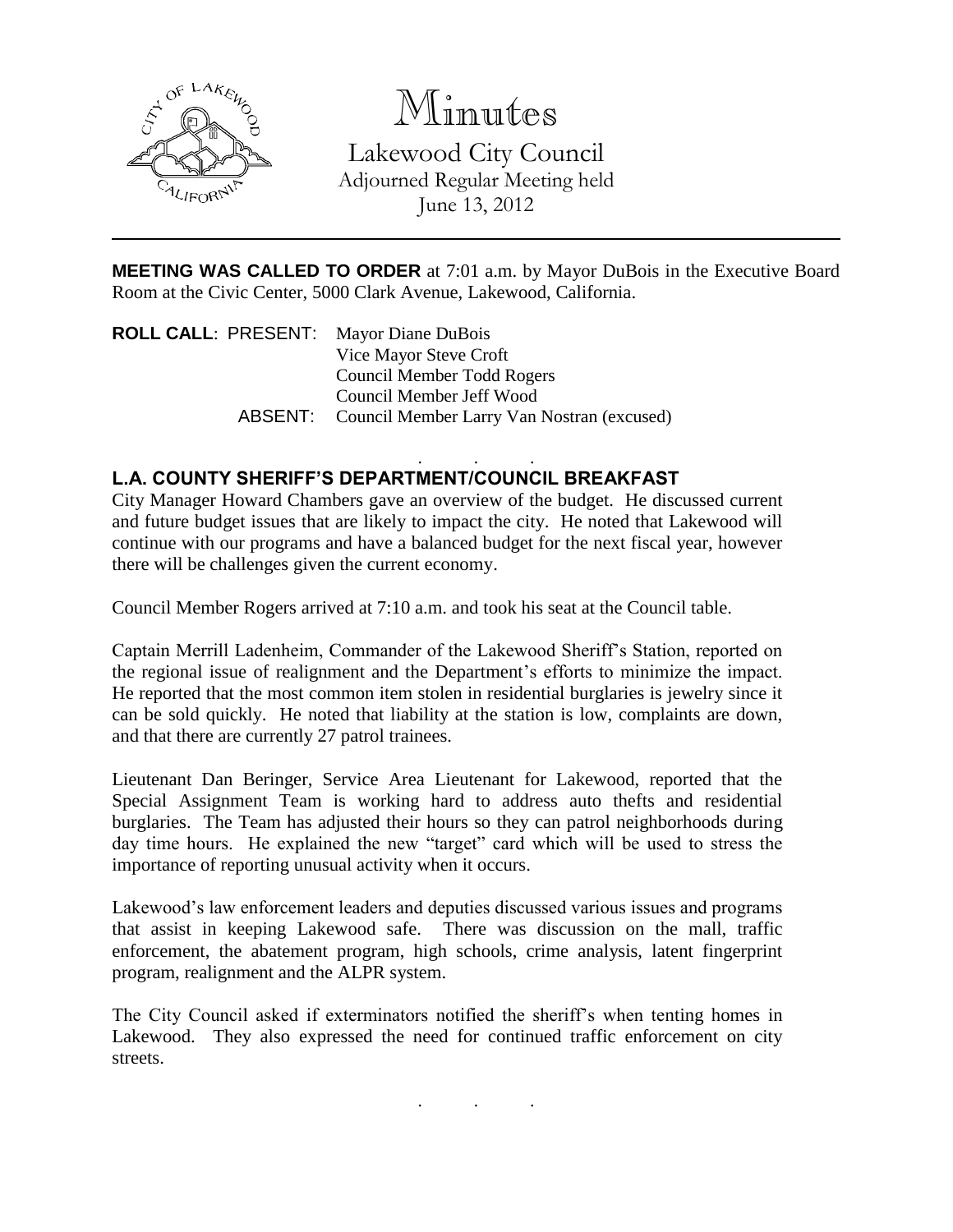

## Minutes

Lakewood City Council Adjourned Regular Meeting held June 13, 2012

**MEETING WAS CALLED TO ORDER** at 7:01 a.m. by Mayor DuBois in the Executive Board Room at the Civic Center, 5000 Clark Avenue, Lakewood, California.

**ROLL CALL**: PRESENT: Mayor Diane DuBois Vice Mayor Steve Croft Council Member Todd Rogers Council Member Jeff Wood ABSENT: Council Member Larry Van Nostran (excused)

## . . . **L.A. COUNTY SHERIFF'S DEPARTMENT/COUNCIL BREAKFAST**

City Manager Howard Chambers gave an overview of the budget. He discussed current and future budget issues that are likely to impact the city. He noted that Lakewood will continue with our programs and have a balanced budget for the next fiscal year, however there will be challenges given the current economy.

Council Member Rogers arrived at 7:10 a.m. and took his seat at the Council table.

Captain Merrill Ladenheim, Commander of the Lakewood Sheriff's Station, reported on the regional issue of realignment and the Department's efforts to minimize the impact. He reported that the most common item stolen in residential burglaries is jewelry since it can be sold quickly. He noted that liability at the station is low, complaints are down, and that there are currently 27 patrol trainees.

Lieutenant Dan Beringer, Service Area Lieutenant for Lakewood, reported that the Special Assignment Team is working hard to address auto thefts and residential burglaries. The Team has adjusted their hours so they can patrol neighborhoods during day time hours. He explained the new "target" card which will be used to stress the importance of reporting unusual activity when it occurs.

Lakewood's law enforcement leaders and deputies discussed various issues and programs that assist in keeping Lakewood safe. There was discussion on the mall, traffic enforcement, the abatement program, high schools, crime analysis, latent fingerprint program, realignment and the ALPR system.

The City Council asked if exterminators notified the sheriff's when tenting homes in Lakewood. They also expressed the need for continued traffic enforcement on city streets.

. . .